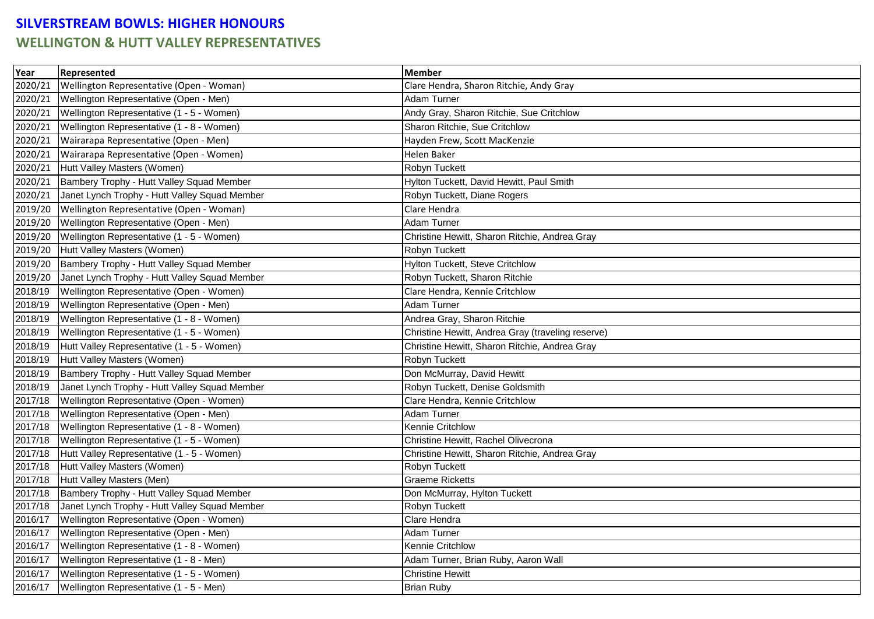## **SILVERSTREAM BOWLS: HIGHER HONOURS WELLINGTON & HUTT VALLEY REPRESENTATIVES**

| Year    | Represented                                   | <b>Member</b>                                     |
|---------|-----------------------------------------------|---------------------------------------------------|
| 2020/21 | Wellington Representative (Open - Woman)      | Clare Hendra, Sharon Ritchie, Andy Gray           |
| 2020/21 | Wellington Representative (Open - Men)        | Adam Turner                                       |
| 2020/21 | Wellington Representative (1 - 5 - Women)     | Andy Gray, Sharon Ritchie, Sue Critchlow          |
| 2020/21 | Wellington Representative (1 - 8 - Women)     | Sharon Ritchie, Sue Critchlow                     |
| 2020/21 | Wairarapa Representative (Open - Men)         | Hayden Frew, Scott MacKenzie                      |
| 2020/21 | Wairarapa Representative (Open - Women)       | <b>Helen Baker</b>                                |
| 2020/21 | Hutt Valley Masters (Women)                   | Robyn Tuckett                                     |
| 2020/21 | Bambery Trophy - Hutt Valley Squad Member     | Hylton Tuckett, David Hewitt, Paul Smith          |
| 2020/21 | Janet Lynch Trophy - Hutt Valley Squad Member | Robyn Tuckett, Diane Rogers                       |
| 2019/20 | Wellington Representative (Open - Woman)      | Clare Hendra                                      |
| 2019/20 | Wellington Representative (Open - Men)        | Adam Turner                                       |
| 2019/20 | Wellington Representative (1 - 5 - Women)     | Christine Hewitt, Sharon Ritchie, Andrea Gray     |
| 2019/20 | Hutt Valley Masters (Women)                   | Robyn Tuckett                                     |
| 2019/20 | Bambery Trophy - Hutt Valley Squad Member     | Hylton Tuckett, Steve Critchlow                   |
| 2019/20 | Janet Lynch Trophy - Hutt Valley Squad Member | Robyn Tuckett, Sharon Ritchie                     |
| 2018/19 | Wellington Representative (Open - Women)      | Clare Hendra, Kennie Critchlow                    |
| 2018/19 | Wellington Representative (Open - Men)        | Adam Turner                                       |
| 2018/19 | Wellington Representative (1 - 8 - Women)     | Andrea Gray, Sharon Ritchie                       |
| 2018/19 | Wellington Representative (1 - 5 - Women)     | Christine Hewitt, Andrea Gray (traveling reserve) |
| 2018/19 | Hutt Valley Representative (1 - 5 - Women)    | Christine Hewitt, Sharon Ritchie, Andrea Gray     |
| 2018/19 | Hutt Valley Masters (Women)                   | Robyn Tuckett                                     |
| 2018/19 | Bambery Trophy - Hutt Valley Squad Member     | Don McMurray, David Hewitt                        |
| 2018/19 | Janet Lynch Trophy - Hutt Valley Squad Member | Robyn Tuckett, Denise Goldsmith                   |
| 2017/18 | Wellington Representative (Open - Women)      | Clare Hendra, Kennie Critchlow                    |
| 2017/18 | Wellington Representative (Open - Men)        | Adam Turner                                       |
| 2017/18 | Wellington Representative (1 - 8 - Women)     | Kennie Critchlow                                  |
| 2017/18 | Wellington Representative (1 - 5 - Women)     | Christine Hewitt, Rachel Olivecrona               |
| 2017/18 | Hutt Valley Representative (1 - 5 - Women)    | Christine Hewitt, Sharon Ritchie, Andrea Gray     |
| 2017/18 | Hutt Valley Masters (Women)                   | Robyn Tuckett                                     |
| 2017/18 | Hutt Valley Masters (Men)                     | <b>Graeme Ricketts</b>                            |
| 2017/18 | Bambery Trophy - Hutt Valley Squad Member     | Don McMurray, Hylton Tuckett                      |
| 2017/18 | Janet Lynch Trophy - Hutt Valley Squad Member | Robyn Tuckett                                     |
| 2016/17 | Wellington Representative (Open - Women)      | Clare Hendra                                      |
| 2016/17 | Wellington Representative (Open - Men)        | Adam Turner                                       |
| 2016/17 | Wellington Representative (1 - 8 - Women)     | Kennie Critchlow                                  |
| 2016/17 | Wellington Representative (1 - 8 - Men)       | Adam Turner, Brian Ruby, Aaron Wall               |
| 2016/17 | Wellington Representative (1 - 5 - Women)     | <b>Christine Hewitt</b>                           |
| 2016/17 | Wellington Representative (1 - 5 - Men)       | <b>Brian Ruby</b>                                 |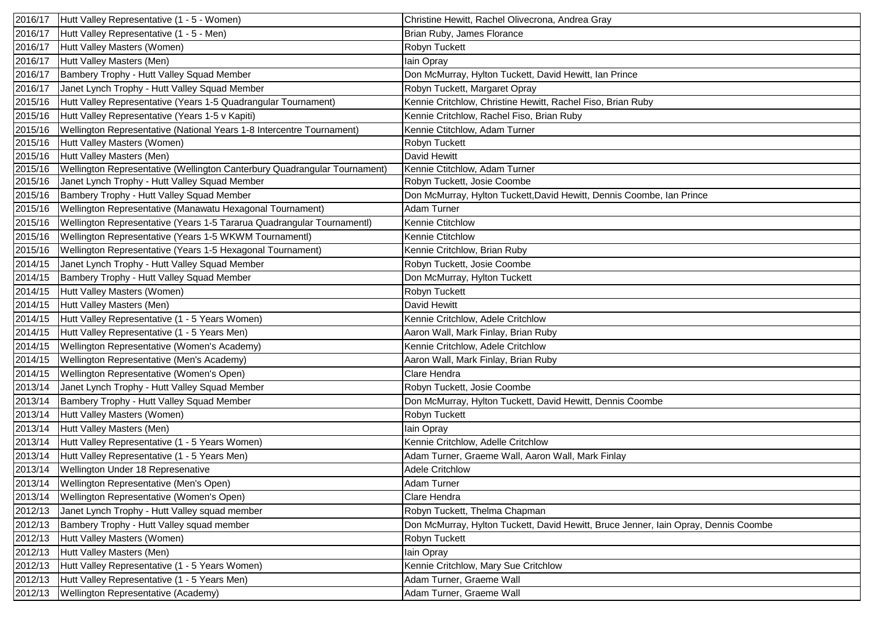| 2016/17              | Hutt Valley Representative (1 - 5 - Women)                                | Christine Hewitt, Rachel Olivecrona, Andrea Gray                                    |
|----------------------|---------------------------------------------------------------------------|-------------------------------------------------------------------------------------|
| 2016/17              | Hutt Valley Representative (1 - 5 - Men)                                  | Brian Ruby, James Florance                                                          |
| 2016/17              | Hutt Valley Masters (Women)                                               | Robyn Tuckett                                                                       |
| 2016/17              | Hutt Valley Masters (Men)                                                 | lain Opray                                                                          |
| 2016/17              | Bambery Trophy - Hutt Valley Squad Member                                 | Don McMurray, Hylton Tuckett, David Hewitt, Ian Prince                              |
| 2016/17              | Janet Lynch Trophy - Hutt Valley Squad Member                             | Robyn Tuckett, Margaret Opray                                                       |
| 2015/16              | Hutt Valley Representative (Years 1-5 Quadrangular Tournament)            | Kennie Critchlow, Christine Hewitt, Rachel Fiso, Brian Ruby                         |
| 2015/16              | Hutt Valley Representative (Years 1-5 v Kapiti)                           | Kennie Critchlow, Rachel Fiso, Brian Ruby                                           |
| 2015/16              | Wellington Representative (National Years 1-8 Intercentre Tournament)     | Kennie Ctitchlow, Adam Turner                                                       |
| 2015/16              | Hutt Valley Masters (Women)                                               | Robyn Tuckett                                                                       |
| 2015/16              | Hutt Valley Masters (Men)                                                 | David Hewitt                                                                        |
| $201\overline{5/16}$ | Wellington Representative (Wellington Canterbury Quadrangular Tournament) | Kennie Ctitchlow, Adam Turner                                                       |
| 2015/16              | Janet Lynch Trophy - Hutt Valley Squad Member                             | Robyn Tuckett, Josie Coombe                                                         |
| 2015/16              | Bambery Trophy - Hutt Valley Squad Member                                 | Don McMurray, Hylton Tuckett, David Hewitt, Dennis Coombe, Ian Prince               |
| 2015/16              | Wellington Representative (Manawatu Hexagonal Tournament)                 | Adam Turner                                                                         |
| 2015/16              | Wellington Representative (Years 1-5 Tararua Quadrangular Tournamentl)    | Kennie Ctitchlow                                                                    |
| 2015/16              | Wellington Representative (Years 1-5 WKWM Tournamentl)                    | Kennie Ctitchlow                                                                    |
| 2015/16              | Wellington Representative (Years 1-5 Hexagonal Tournament)                | Kennie Critchlow, Brian Ruby                                                        |
| 2014/15              | Janet Lynch Trophy - Hutt Valley Squad Member                             | Robyn Tuckett, Josie Coombe                                                         |
| 2014/15              | Bambery Trophy - Hutt Valley Squad Member                                 | Don McMurray, Hylton Tuckett                                                        |
| 2014/15              | Hutt Valley Masters (Women)                                               | Robyn Tuckett                                                                       |
| 2014/15              | Hutt Valley Masters (Men)                                                 | David Hewitt                                                                        |
| 2014/15              | Hutt Valley Representative (1 - 5 Years Women)                            | Kennie Critchlow, Adele Critchlow                                                   |
| 2014/15              | Hutt Valley Representative (1 - 5 Years Men)                              | Aaron Wall, Mark Finlay, Brian Ruby                                                 |
| 2014/15              | Wellington Representative (Women's Academy)                               | Kennie Critchlow, Adele Critchlow                                                   |
| 2014/15              | Wellington Representative (Men's Academy)                                 | Aaron Wall, Mark Finlay, Brian Ruby                                                 |
| 2014/15              | Wellington Representative (Women's Open)                                  | Clare Hendra                                                                        |
| 2013/14              | Janet Lynch Trophy - Hutt Valley Squad Member                             | Robyn Tuckett, Josie Coombe                                                         |
| 2013/14              | Bambery Trophy - Hutt Valley Squad Member                                 | Don McMurray, Hylton Tuckett, David Hewitt, Dennis Coombe                           |
| 2013/14              | Hutt Valley Masters (Women)                                               | Robyn Tuckett                                                                       |
| 2013/14              | Hutt Valley Masters (Men)                                                 | Iain Opray                                                                          |
| 2013/14              | Hutt Valley Representative (1 - 5 Years Women)                            | Kennie Critchlow, Adelle Critchlow                                                  |
| 2013/14              | Hutt Valley Representative (1 - 5 Years Men)                              | Adam Turner, Graeme Wall, Aaron Wall, Mark Finlay                                   |
|                      | 2013/14 Wellington Under 18 Represenative                                 | <b>Adele Critchlow</b>                                                              |
|                      | 2013/14 Wellington Representative (Men's Open)                            | Adam Turner                                                                         |
| 2013/14              | Wellington Representative (Women's Open)                                  | Clare Hendra                                                                        |
| 2012/13              | Janet Lynch Trophy - Hutt Valley squad member                             | Robyn Tuckett, Thelma Chapman                                                       |
| 2012/13              | Bambery Trophy - Hutt Valley squad member                                 | Don McMurray, Hylton Tuckett, David Hewitt, Bruce Jenner, Iain Opray, Dennis Coombe |
| 2012/13              | Hutt Valley Masters (Women)                                               | Robyn Tuckett                                                                       |
| 2012/13              | Hutt Valley Masters (Men)                                                 | Iain Opray                                                                          |
| 2012/13              | Hutt Valley Representative (1 - 5 Years Women)                            | Kennie Critchlow, Mary Sue Critchlow                                                |
| 2012/13              | Hutt Valley Representative (1 - 5 Years Men)                              | Adam Turner, Graeme Wall                                                            |
| 2012/13              | Wellington Representative (Academy)                                       | Adam Turner, Graeme Wall                                                            |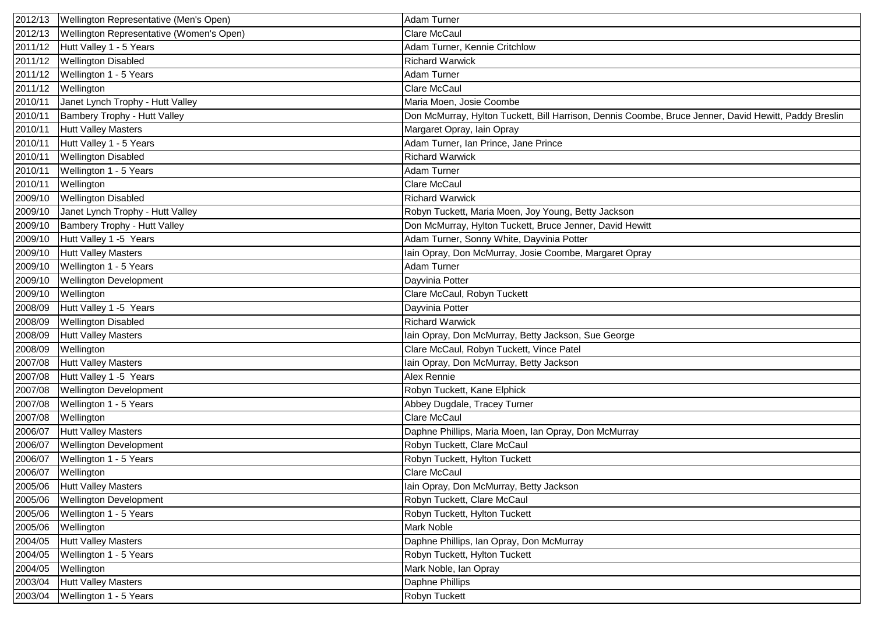| 2012/13 | Wellington Representative (Men's Open)   | <b>Adam Turner</b>                                                                                    |
|---------|------------------------------------------|-------------------------------------------------------------------------------------------------------|
| 2012/13 | Wellington Representative (Women's Open) | Clare McCaul                                                                                          |
| 2011/12 | Hutt Valley 1 - 5 Years                  | Adam Turner, Kennie Critchlow                                                                         |
| 2011/12 | <b>Wellington Disabled</b>               | <b>Richard Warwick</b>                                                                                |
| 2011/12 | Wellington 1 - 5 Years                   | Adam Turner                                                                                           |
| 2011/12 | Wellington                               | <b>Clare McCaul</b>                                                                                   |
| 2010/11 | Janet Lynch Trophy - Hutt Valley         | Maria Moen, Josie Coombe                                                                              |
| 2010/11 | Bambery Trophy - Hutt Valley             | Don McMurray, Hylton Tuckett, Bill Harrison, Dennis Coombe, Bruce Jenner, David Hewitt, Paddy Breslin |
| 2010/11 | <b>Hutt Valley Masters</b>               | Margaret Opray, Iain Opray                                                                            |
| 2010/11 | Hutt Valley 1 - 5 Years                  | Adam Turner, Ian Prince, Jane Prince                                                                  |
| 2010/11 | <b>Wellington Disabled</b>               | <b>Richard Warwick</b>                                                                                |
| 2010/11 | Wellington 1 - 5 Years                   | Adam Turner                                                                                           |
| 2010/11 | Wellington                               | <b>Clare McCaul</b>                                                                                   |
| 2009/10 | <b>Wellington Disabled</b>               | <b>Richard Warwick</b>                                                                                |
| 2009/10 | Janet Lynch Trophy - Hutt Valley         | Robyn Tuckett, Maria Moen, Joy Young, Betty Jackson                                                   |
| 2009/10 | Bambery Trophy - Hutt Valley             | Don McMurray, Hylton Tuckett, Bruce Jenner, David Hewitt                                              |
| 2009/10 | Hutt Valley 1 -5 Years                   | Adam Turner, Sonny White, Dayvinia Potter                                                             |
| 2009/10 | <b>Hutt Valley Masters</b>               | Iain Opray, Don McMurray, Josie Coombe, Margaret Opray                                                |
| 2009/10 | Wellington 1 - 5 Years                   | Adam Turner                                                                                           |
| 2009/10 | <b>Wellington Development</b>            | Dayvinia Potter                                                                                       |
| 2009/10 | Wellington                               | Clare McCaul, Robyn Tuckett                                                                           |
| 2008/09 | Hutt Valley 1 -5 Years                   | Dayvinia Potter                                                                                       |
| 2008/09 | <b>Wellington Disabled</b>               | <b>Richard Warwick</b>                                                                                |
| 2008/09 | <b>Hutt Valley Masters</b>               | Iain Opray, Don McMurray, Betty Jackson, Sue George                                                   |
| 2008/09 | Wellington                               | Clare McCaul, Robyn Tuckett, Vince Patel                                                              |
| 2007/08 | <b>Hutt Valley Masters</b>               | lain Opray, Don McMurray, Betty Jackson                                                               |
| 2007/08 | Hutt Valley 1 -5 Years                   | <b>Alex Rennie</b>                                                                                    |
| 2007/08 | <b>Wellington Development</b>            | Robyn Tuckett, Kane Elphick                                                                           |
| 2007/08 | Wellington 1 - 5 Years                   | Abbey Dugdale, Tracey Turner                                                                          |
| 2007/08 | Wellington                               | <b>Clare McCaul</b>                                                                                   |
| 2006/07 | <b>Hutt Valley Masters</b>               | Daphne Phillips, Maria Moen, Ian Opray, Don McMurray                                                  |
| 2006/07 | <b>Wellington Development</b>            | Robyn Tuckett, Clare McCaul                                                                           |
| 2006/07 | Wellington 1 - 5 Years                   | Robyn Tuckett, Hylton Tuckett                                                                         |
| 2006/07 | Wellington                               | <b>Clare McCaul</b>                                                                                   |
| 2005/06 | <b>Hutt Valley Masters</b>               | Iain Opray, Don McMurray, Betty Jackson                                                               |
| 2005/06 | <b>Wellington Development</b>            | Robyn Tuckett, Clare McCaul                                                                           |
| 2005/06 | Wellington 1 - 5 Years                   | Robyn Tuckett, Hylton Tuckett                                                                         |
| 2005/06 | Wellington                               | <b>Mark Noble</b>                                                                                     |
| 2004/05 | <b>Hutt Valley Masters</b>               | Daphne Phillips, Ian Opray, Don McMurray                                                              |
| 2004/05 | Wellington 1 - 5 Years                   | Robyn Tuckett, Hylton Tuckett                                                                         |
| 2004/05 | Wellington                               | Mark Noble, Ian Opray                                                                                 |
| 2003/04 | <b>Hutt Valley Masters</b>               | Daphne Phillips                                                                                       |
| 2003/04 | Wellington 1 - 5 Years                   | Robyn Tuckett                                                                                         |